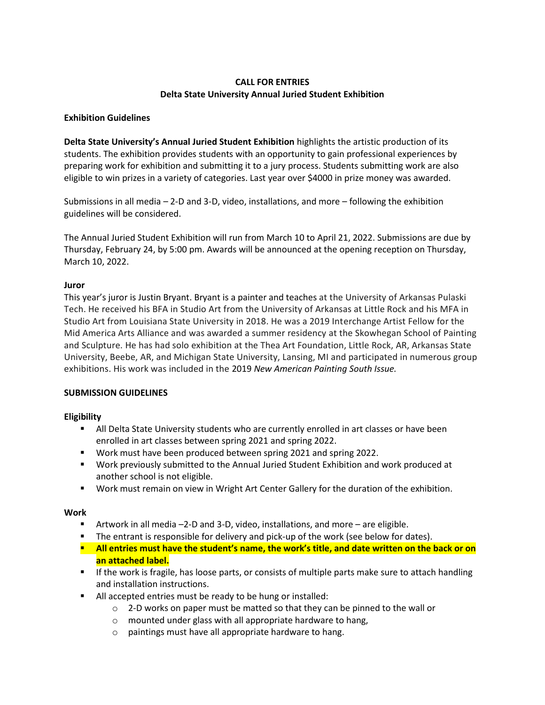# **CALL FOR ENTRIES Delta State University Annual Juried Student Exhibition**

### **Exhibition Guidelines**

**Delta State University's Annual Juried Student Exhibition** highlights the artistic production of its students. The exhibition provides students with an opportunity to gain professional experiences by preparing work for exhibition and submitting it to a jury process. Students submitting work are also eligible to win prizes in a variety of categories. Last year over \$4000 in prize money was awarded.

Submissions in all media – 2-D and 3-D, video, installations, and more – following the exhibition guidelines will be considered.

The Annual Juried Student Exhibition will run from March 10 to April 21, 2022. Submissions are due by Thursday, February 24, by 5:00 pm. Awards will be announced at the opening reception on Thursday, March 10, 2022.

## **Juror**

This year's juror is Justin Bryant. Bryant is a painter and teaches at the University of Arkansas Pulaski Tech. He received his BFA in Studio Art from the University of Arkansas at Little Rock and his MFA in Studio Art from Louisiana State University in 2018. He was a 2019 Interchange Artist Fellow for the Mid America Arts Alliance and was awarded a summer residency at the Skowhegan School of Painting and Sculpture. He has had solo exhibition at the Thea Art Foundation, Little Rock, AR, Arkansas State University, Beebe, AR, and Michigan State University, Lansing, MI and participated in numerous group exhibitions. His work was included in the 2019 *New American Painting South Issue.*

### **SUBMISSION GUIDELINES**

# **Eligibility**

- All Delta State University students who are currently enrolled in art classes or have been enrolled in art classes between spring 2021 and spring 2022.
- Work must have been produced between spring 2021 and spring 2022.
- Work previously submitted to the Annual Juried Student Exhibition and work produced at another school is not eligible.
- Work must remain on view in Wright Art Center Gallery for the duration of the exhibition.

### **Work**

- Artwork in all media  $-2$ -D and 3-D, video, installations, and more  $-$  are eligible.
- **The entrant is responsible for delivery and pick-up of the work (see below for dates).**
- **All entries must have the student's name, the work's title, and date written on the back or on an attached label.**
- **■** If the work is fragile, has loose parts, or consists of multiple parts make sure to attach handling and installation instructions.
- All accepted entries must be ready to be hung or installed:
	- $\circ$  2-D works on paper must be matted so that they can be pinned to the wall or
	- o mounted under glass with all appropriate hardware to hang,
	- o paintings must have all appropriate hardware to hang.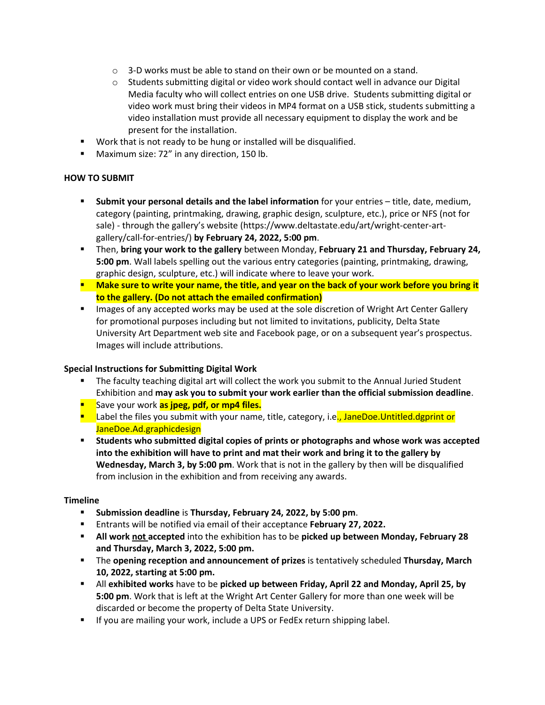- $\circ$  3-D works must be able to stand on their own or be mounted on a stand.
- o Students submitting digital or video work should contact well in advance our Digital Media faculty who will collect entries on one USB drive. Students submitting digital or video work must bring their videos in MP4 format on a USB stick, students submitting a video installation must provide all necessary equipment to display the work and be present for the installation.
- Work that is not ready to be hung or installed will be disqualified.
- Maximum size: 72" in any direction, 150 lb.

### **HOW TO SUBMIT**

- **Submit your personal details and the label information** for your entries title, date, medium, category (painting, printmaking, drawing, graphic design, sculpture, etc.), price or NFS (not for sale) - through the gallery's website (https://www.deltastate.edu/art/wright-center-artgallery/call-for-entries/) **by February 24, 2022, 5:00 pm**.
- Then, **bring your work to the gallery** between Monday, **February 21 and Thursday, February 24, 5:00 pm**. Wall labels spelling out the various entry categories (painting, printmaking, drawing, graphic design, sculpture, etc.) will indicate where to leave your work.
- **EXED Make sure to write your name, the title, and year on the back of your work before you bring it to the gallery. (Do not attach the emailed confirmation)**
- **EXECT** Images of any accepted works may be used at the sole discretion of Wright Art Center Gallery for promotional purposes including but not limited to invitations, publicity, Delta State University Art Department web site and Facebook page, or on a subsequent year's prospectus. Images will include attributions.

### **Special Instructions for Submitting Digital Work**

- **■** The faculty teaching digital art will collect the work you submit to the Annual Juried Student Exhibition and **may ask you to submit your work earlier than the official submission deadline**.
- Save your work **as jpeg, pdf, or mp4 files.**
- Label the files you submit with your name, title, category, i.e., JaneDoe.Untitled.dgprint or JaneDoe.Ad.graphicdesign
- **EXECT Students who submitted digital copies of prints or photographs and whose work was accepted into the exhibition will have to print and mat their work and bring it to the gallery by Wednesday, March 3, by 5:00 pm**. Work that is not in the gallery by then will be disqualified from inclusion in the exhibition and from receiving any awards.

### **Timeline**

- **Submission deadline** is **Thursday, February 24, 2022, by 5:00 pm**.
- Entrants will be notified via email of their acceptance **February 27, 2022.**
- **All work not accepted** into the exhibition has to be **picked up between Monday, February 28 and Thursday, March 3, 2022, 5:00 pm.**
- The **opening reception and announcement of prizes** is tentatively scheduled **Thursday, March 10, 2022, starting at 5:00 pm.**
- All **exhibited works** have to be **picked up between Friday, April 22 and Monday, April 25, by 5:00 pm**. Work that is left at the Wright Art Center Gallery for more than one week will be discarded or become the property of Delta State University.
- If you are mailing your work, include a UPS or FedEx return shipping label.